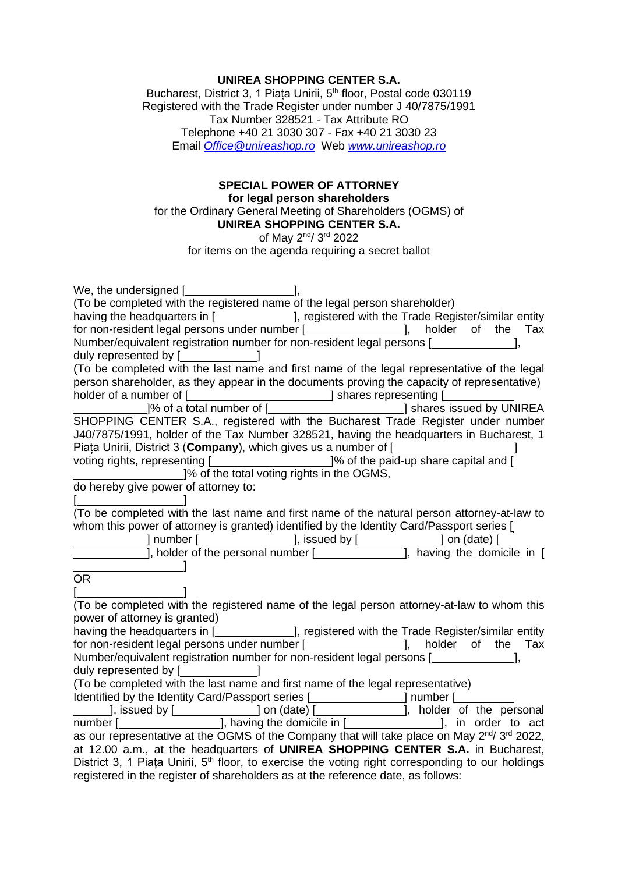## **UNIREA SHOPPING CENTER S.A.**

Bucharest, District 3, 1 Piața Unirii, 5<sup>th</sup> floor, Postal code 030119 Registered with the Trade Register under number J 40/7875/1991 Tax Number 328521 - Tax Attribute RO Telephone +40 21 3030 307 - Fax +40 21 3030 23 Email *[Office@unireashop.ro](mailto:Office@unireashop.ro)* Web *[www.unireashop.ro](http://www.unireashop.ro/)*

## **SPECIAL POWER OF ATTORNEY for legal person shareholders** for the Ordinary General Meeting of Shareholders (OGMS) of **UNIREA SHOPPING CENTER S.A.** of May 2<sup>nd</sup>/ 3<sup>rd</sup> 2022

for items on the agenda requiring a secret ballot

| We, the undersigned [ <b>willer</b> contains the unit of the unit of the unit of the unit of the unit of the unit of the unit of the unit of the unit of the unit of the unit of the unit of the unit of the unit of the unit of the |
|--------------------------------------------------------------------------------------------------------------------------------------------------------------------------------------------------------------------------------------|
| (To be completed with the registered name of the legal person shareholder)                                                                                                                                                           |
| having the headquarters in [______________], registered with the Trade Register/similar entity                                                                                                                                       |
| for non-resident legal persons under number [ <i>_________________</i> ], holder of the Tax                                                                                                                                          |
| Number/equivalent registration number for non-resident legal persons [ <i>wirehofferender</i> ],                                                                                                                                     |
| duly represented by [ <b>will-contain the container</b> and all                                                                                                                                                                      |
| (To be completed with the last name and first name of the legal representative of the legal                                                                                                                                          |
| person shareholder, as they appear in the documents proving the capacity of representative)                                                                                                                                          |
|                                                                                                                                                                                                                                      |
|                                                                                                                                                                                                                                      |
|                                                                                                                                                                                                                                      |
| J40/7875/1991, holder of the Tax Number 328521, having the headquarters in Bucharest, 1                                                                                                                                              |
| Piata Unirii, District 3 (Company), which gives us a number of [                                                                                                                                                                     |
| voting rights, representing [____________________________]% of the paid-up share capital and [                                                                                                                                       |
| 1% of the total voting rights in the OGMS,                                                                                                                                                                                           |
| do hereby give power of attorney to:                                                                                                                                                                                                 |
|                                                                                                                                                                                                                                      |
| (To be completed with the last name and first name of the natural person attorney-at-law to                                                                                                                                          |
| whom this power of attorney is granted) identified by the Identity Card/Passport series [                                                                                                                                            |
|                                                                                                                                                                                                                                      |
|                                                                                                                                                                                                                                      |
|                                                                                                                                                                                                                                      |
| <b>OR</b>                                                                                                                                                                                                                            |
|                                                                                                                                                                                                                                      |
| (To be completed with the registered name of the legal person attorney-at-law to whom this                                                                                                                                           |
| power of attorney is granted)                                                                                                                                                                                                        |
| having the headquarters in [______________], registered with the Trade Register/similar entity                                                                                                                                       |
| for non-resident legal persons under number [ <i>_________________]</i> , holder of the Tax                                                                                                                                          |
| Number/equivalent registration number for non-resident legal persons [                                                                                                                                                               |
| duly represented by [ <b>willer</b> [Suller Dengine ]                                                                                                                                                                                |
| (To be completed with the last name and first name of the legal representative)                                                                                                                                                      |
| Identified by the Identity Card/Passport series [ <b>willing in the Community Card/Passport series</b> [willing] number [willing]                                                                                                    |
|                                                                                                                                                                                                                                      |
|                                                                                                                                                                                                                                      |
| as our representative at the OGMS of the Company that will take place on May 2nd/3rd 2022,                                                                                                                                           |
| at 12.00 a.m., at the headquarters of UNIREA SHOPPING CENTER S.A. in Bucharest,                                                                                                                                                      |
| District 3, 1 Piața Unirii, 5 <sup>th</sup> floor, to exercise the voting right corresponding to our holdings                                                                                                                        |
| registered in the register of shareholders as at the reference date, as follows:                                                                                                                                                     |